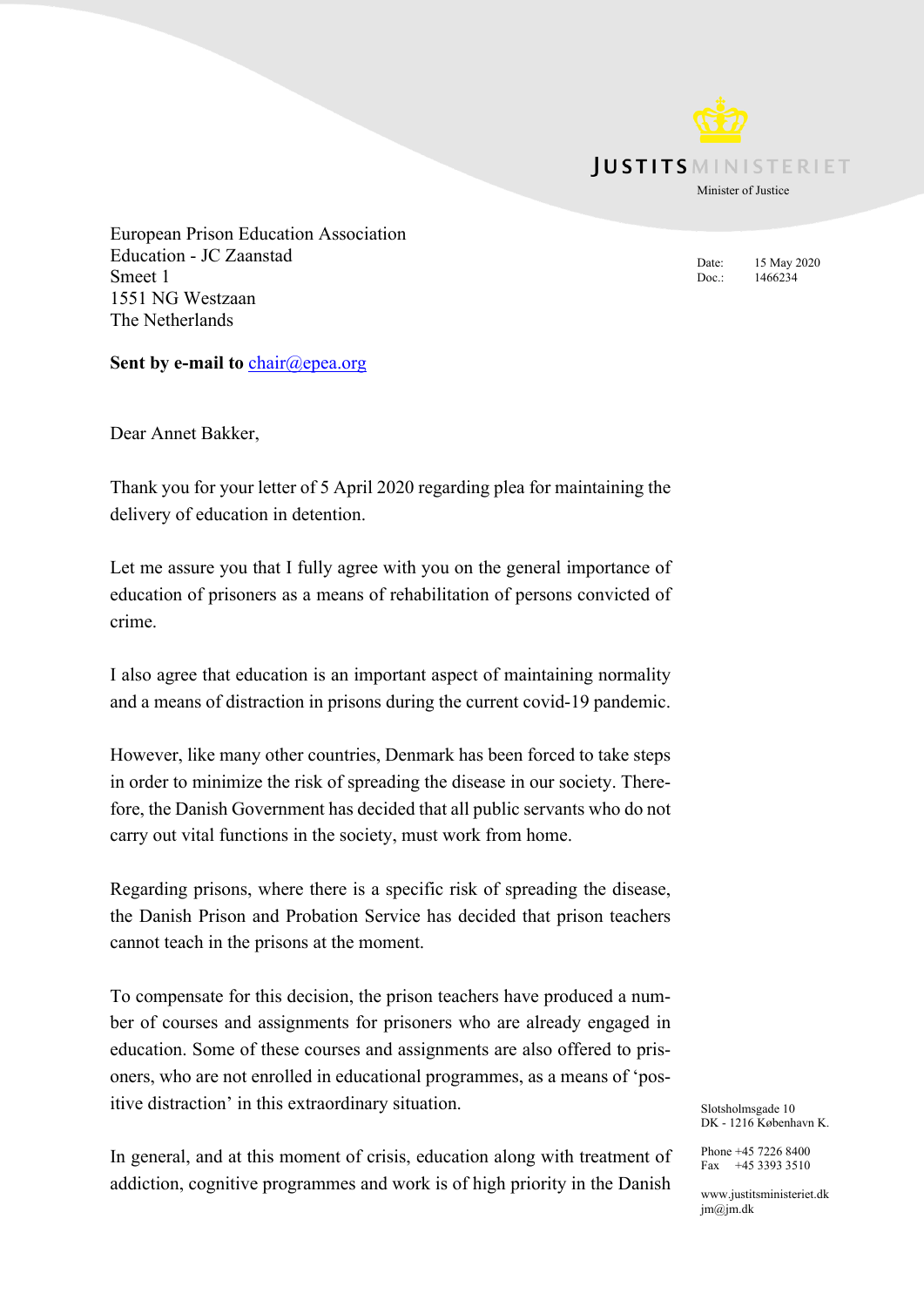**IUSTITS** MINISTERIET

Minister of Justice

Date: 15 May 2020 Doc.: 1466234

European Prison Education Association Education - JC Zaanstad Smeet 1 1551 NG Westzaan The Netherlands

Sent by e-mail to **[chair@epea.org](mailto:chair@epea.org)** 

Dear Annet Bakker,

Thank you for your letter of 5 April 2020 regarding plea for maintaining the delivery of education in detention.

Let me assure you that I fully agree with you on the general importance of education of prisoners as a means of rehabilitation of persons convicted of crime.

I also agree that education is an important aspect of maintaining normality and a means of distraction in prisons during the current covid-19 pandemic.

However, like many other countries, Denmark has been forced to take steps in order to minimize the risk of spreading the disease in our society. Therefore, the Danish Government has decided that all public servants who do not carry out vital functions in the society, must work from home.

Regarding prisons, where there is a specific risk of spreading the disease, the Danish Prison and Probation Service has decided that prison teachers cannot teach in the prisons at the moment.

To compensate for this decision, the prison teachers have produced a number of courses and assignments for prisoners who are already engaged in education. Some of these courses and assignments are also offered to prisoners, who are not enrolled in educational programmes, as a means of 'positive distraction' in this extraordinary situation.

In general, and at this moment of crisis, education along with treatment of addiction, cognitive programmes and work is of high priority in the Danish

Slotsholmsgade 10 DK - 1216 København K.

Phone +45 7226 8400 Fax  $+4533933510$ 

www.justitsministeriet.dk  $jm@jm.dk$